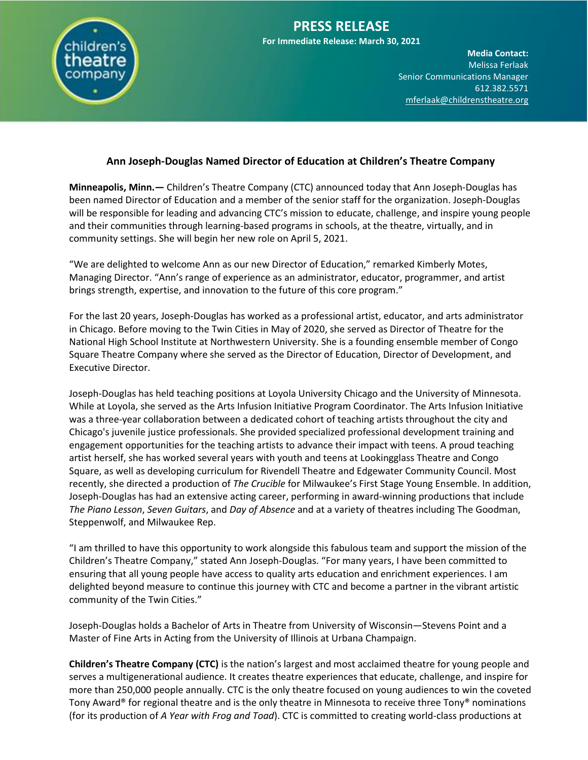

## **PRESS RELEASE**

**For Immediate Release: March 30, 2021**

**Media Contact:**  Melissa Ferlaak Senior Communications Manager 612.382.5571 [mferlaak@childrenstheatre.org](mailto:mferlaak@childrenstheatre.org)

## **Ann Joseph-Douglas Named Director of Education at Children's Theatre Company**

**Minneapolis, Minn.—** Children's Theatre Company (CTC) announced today that Ann Joseph-Douglas has been named Director of Education and a member of the senior staff for the organization. Joseph-Douglas will be responsible for leading and advancing CTC's mission to educate, challenge, and inspire young people and their communities through learning-based programs in schools, at the theatre, virtually, and in community settings. She will begin her new role on April 5, 2021.

"We are delighted to welcome Ann as our new Director of Education," remarked Kimberly Motes, Managing Director. "Ann's range of experience as an administrator, educator, programmer, and artist brings strength, expertise, and innovation to the future of this core program."

For the last 20 years, Joseph-Douglas has worked as a professional artist, educator, and arts administrator in Chicago. Before moving to the Twin Cities in May of 2020, she served as Director of Theatre for the National High School Institute at Northwestern University. She is a founding ensemble member of Congo Square Theatre Company where she served as the Director of Education, Director of Development, and Executive Director.

Joseph-Douglas has held teaching positions at Loyola University Chicago and the University of Minnesota. While at Loyola, she served as the Arts Infusion Initiative Program Coordinator. The Arts Infusion Initiative was a three-year collaboration between a dedicated cohort of teaching artists throughout the city and Chicago's juvenile justice professionals. She provided specialized professional development training and engagement opportunities for the teaching artists to advance their impact with teens. A proud teaching artist herself, she has worked several years with youth and teens at Lookingglass Theatre and Congo Square, as well as developing curriculum for Rivendell Theatre and Edgewater Community Council. Most recently, she directed a production of *The Crucible* for Milwaukee's First Stage Young Ensemble. In addition, Joseph-Douglas has had an extensive acting career, performing in award-winning productions that include *The Piano Lesson*, *Seven Guitars*, and *Day of Absence* and at a variety of theatres including The Goodman, Steppenwolf, and Milwaukee Rep.

"I am thrilled to have this opportunity to work alongside this fabulous team and support the mission of the Children's Theatre Company," stated Ann Joseph-Douglas. "For many years, I have been committed to ensuring that all young people have access to quality arts education and enrichment experiences. I am delighted beyond measure to continue this journey with CTC and become a partner in the vibrant artistic community of the Twin Cities."

Joseph-Douglas holds a Bachelor of Arts in Theatre from University of Wisconsin—Stevens Point and a Master of Fine Arts in Acting from the University of Illinois at Urbana Champaign.

**Children's Theatre Company (CTC)** is the nation's largest and most acclaimed theatre for young people and serves a multigenerational audience. It creates theatre experiences that educate, challenge, and inspire for more than 250,000 people annually. CTC is the only theatre focused on young audiences to win the coveted Tony Award® for regional theatre and is the only theatre in Minnesota to receive three Tony® nominations (for its production of *A Year with Frog and Toad*). CTC is committed to creating world-class productions at